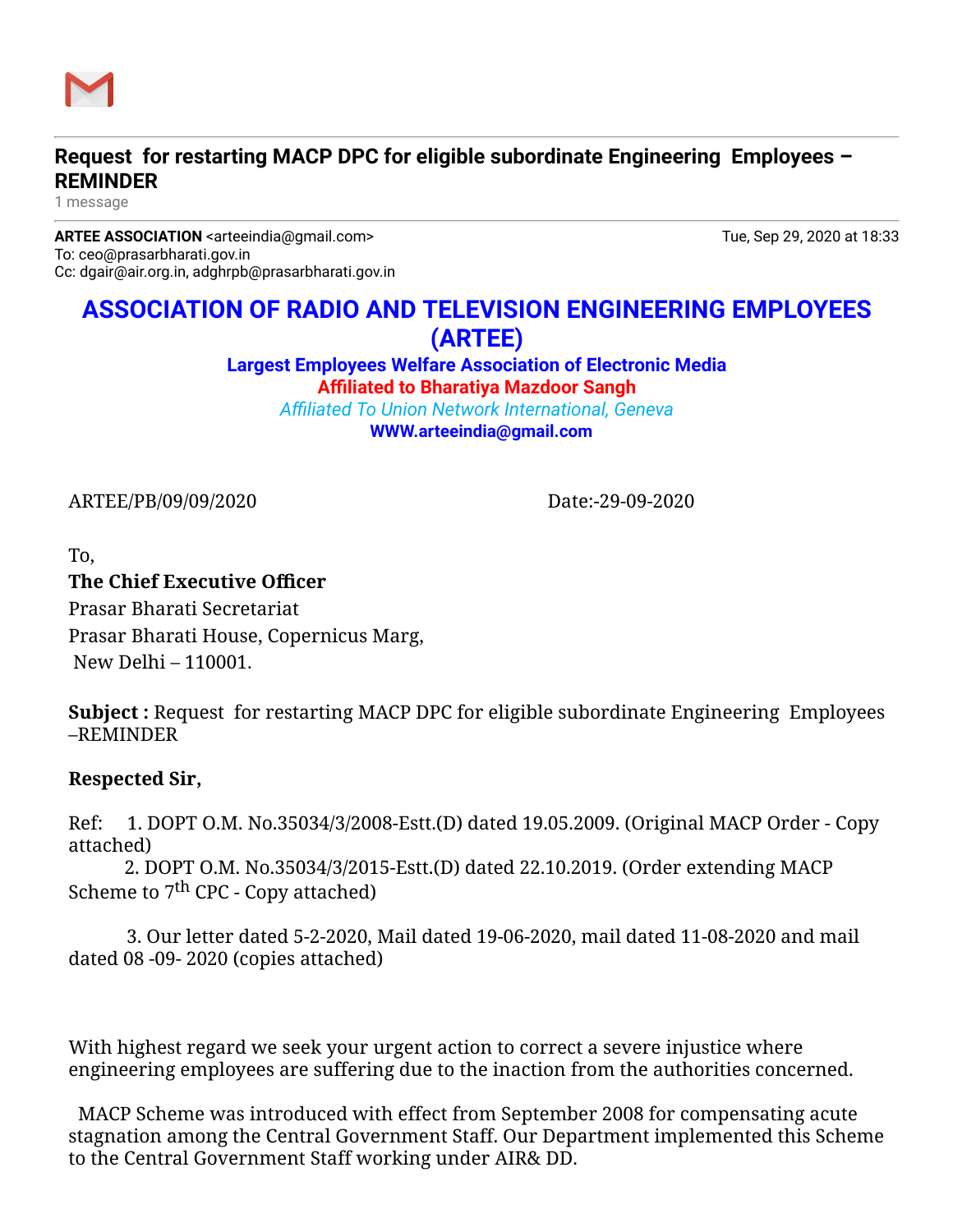

## **Request for restarting MACP DPC for eligible subordinate Engineering Employees – REMINDER**

1 message

**ARTEE ASSOCIATION** <arteeindia@gmail.com> Tue, Sep 29, 2020 at 18:33 To: ceo@prasarbharati.gov.in Cc: dgair@air.org.in, adghrpb@prasarbharati.gov.in

# **ASSOCIATION OF RADIO AND TELEVISION ENGINEERING EMPLOYEES (ARTEE)**

**Largest Employees Welfare Association of Electronic Media Affiliated to Bharatiya Mazdoor Sangh**

*Affiliated To Union Network International, Geneva* **[WWW.arteeindia@gmail.com](http://WWW.arteeindia@gmail.com/)**

ARTEE/PB/09/09/2020 Date:-29-09-2020

To,

#### **The Chief Executive Officer**

Prasar Bharati Secretariat Prasar Bharati House, Copernicus Marg, New Delhi – 110001.

**Subject :** Request for restarting MACP DPC for eligible subordinate Engineering Employees –REMINDER

### **Respected Sir,**

Ref: 1. DOPT O.M. No.35034/3/2008-Estt.(D) dated 19.05.2009. (Original MACP Order - Copy attached)

2. DOPT O.M. No.35034/3/2015-Estt.(D) dated 22.10.2019. (Order extending MACP Scheme to  $7<sup>th</sup>$  CPC - Copy attached)

 3. Our letter dated 5-2-2020, Mail dated 19-06-2020, mail dated 11-08-2020 and mail dated 08 -09- 2020 (copies attached)

With highest regard we seek your urgent action to correct a severe injustice where engineering employees are suffering due to the inaction from the authorities concerned.

 MACP Scheme was introduced with effect from September 2008 for compensating acute stagnation among the Central Government Staff. Our Department implemented this Scheme to the Central Government Staff working under AIR& DD.